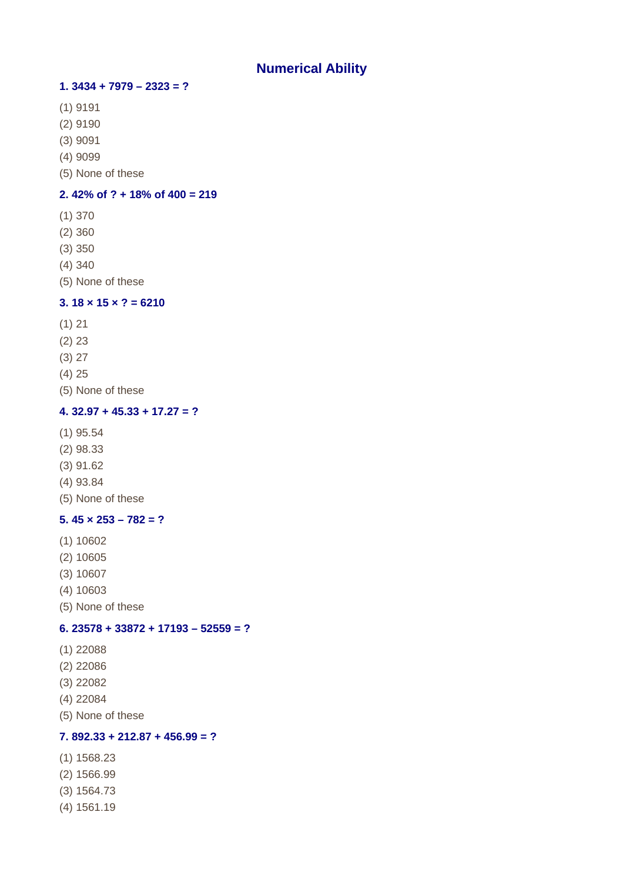# **Numerical Ability**

## **1. 3434 + 7979 – 2323 = ?**

- (1) 9191
- (2) 9190
- (3) 9091
- (4) 9099
- (5) None of these

#### **2. 42% of ? + 18% of 400 = 219**

- (1) 370
- (2) 360
- (3) 350
- (4) 340
- (5) None of these

## **3. 18 × 15 × ? = 6210**

- (1) 21
- (2) 23
- (3) 27
- (4) 25
- (5) None of these

#### **4. 32.97 + 45.33 + 17.27 = ?**

- (1) 95.54
- (2) 98.33
- (3) 91.62
- (4) 93.84
- (5) None of these

#### **5. 45 × 253 – 782 = ?**

- (1) 10602
- (2) 10605
- (3) 10607
- (4) 10603
- (5) None of these

#### **6. 23578 + 33872 + 17193 – 52559 = ?**

- (1) 22088
- (2) 22086
- (3) 22082
- (4) 22084
- (5) None of these

## **7. 892.33 + 212.87 + 456.99 = ?**

- (1) 1568.23
- (2) 1566.99
- (3) 1564.73
- (4) 1561.19